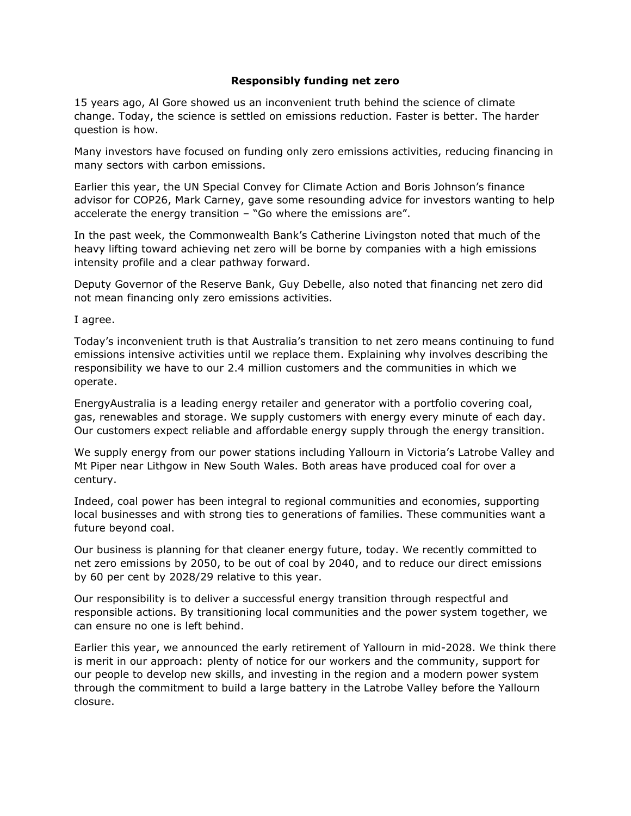## **Responsibly funding net zero**

15 years ago, Al Gore showed us an inconvenient truth behind the science of climate change. Today, the science is settled on emissions reduction. Faster is better. The harder question is how.

Many investors have focused on funding only zero emissions activities, reducing financing in many sectors with carbon emissions.

Earlier this year, the UN Special Convey for Climate Action and Boris Johnson's finance advisor for COP26, Mark Carney, gave some resounding advice for investors wanting to help accelerate the energy transition – "Go where the emissions are".

In the past week, the Commonwealth Bank's Catherine Livingston noted that much of the heavy lifting toward achieving net zero will be borne by companies with a high emissions intensity profile and a clear pathway forward.

Deputy Governor of the Reserve Bank, Guy Debelle, also noted that financing net zero did not mean financing only zero emissions activities.

I agree.

Today's inconvenient truth is that Australia's transition to net zero means continuing to fund emissions intensive activities until we replace them. Explaining why involves describing the responsibility we have to our 2.4 million customers and the communities in which we operate.

EnergyAustralia is a leading energy retailer and generator with a portfolio covering coal, gas, renewables and storage. We supply customers with energy every minute of each day. Our customers expect reliable and affordable energy supply through the energy transition.

We supply energy from our power stations including Yallourn in Victoria's Latrobe Valley and Mt Piper near Lithgow in New South Wales. Both areas have produced coal for over a century.

Indeed, coal power has been integral to regional communities and economies, supporting local businesses and with strong ties to generations of families. These communities want a future beyond coal.

Our business is planning for that cleaner energy future, today. We recently committed to net zero emissions by 2050, to be out of coal by 2040, and to reduce our direct emissions by 60 per cent by 2028/29 relative to this year.

Our responsibility is to deliver a successful energy transition through respectful and responsible actions. By transitioning local communities and the power system together, we can ensure no one is left behind.

Earlier this year, we announced the early retirement of Yallourn in mid-2028. We think there is merit in our approach: plenty of notice for our workers and the community, support for our people to develop new skills, and investing in the region and a modern power system through the commitment to build a large battery in the Latrobe Valley before the Yallourn closure.